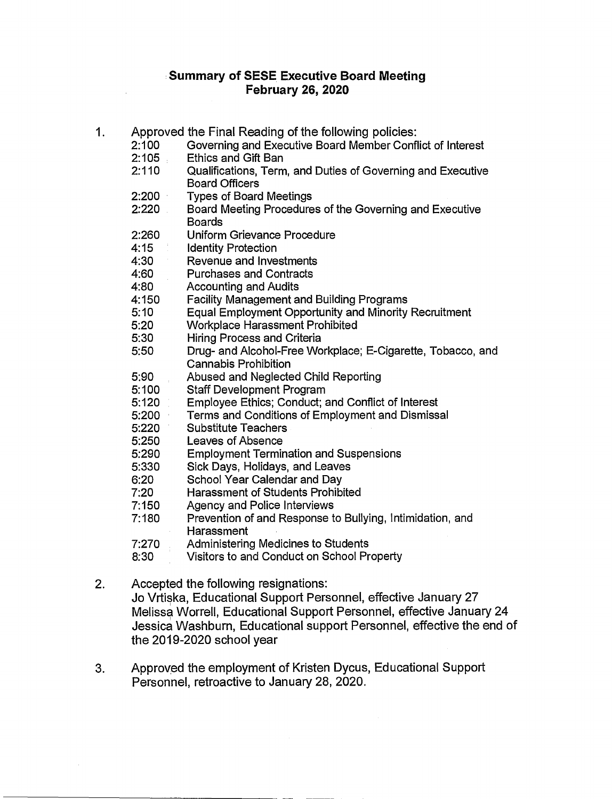## **Summary of SESE Executive Board Meeting February 26, 2020**

1. Approved the Final Reading of the following policies:

- 2:100 Governing and Executive Board Member Conflict of Interest
- 2:105 Ethics and Gift Ban
- 2:110 Qualifications, Term, and Duties of Governing and Executive Board Officers
- 2:200 Types of Board Meetings
- 2:220 Board Meeting Procedures of the Governing and Executive Boards
- 2:260 Uniform Grievance Procedure
- 4:15 Identity Protection
- 4:30 Revenue and Investments
- 4:60 Purchases and Contracts
- 
- 4:80 Accounting and Audits<br>4:150 Facility Management a 4:150 Facility Management and Building Programs
- 5:10 Equal Employment Opportunity and Minority Recruitment
- 5:20 Workplace Harassment Prohibited
- 5:30 Hiring Process and Criteria
- 5:50 Drug- and Alcohol-Free Workplace; E-Cigarette, Tobacco, and Cannabis Prohibition
- 5:90 Abused and Neglected Child Reporting
- 5:100 Staff Development Program
- 5:120 Employee Ethics; Conduct; and Conflict of Interest
- 5:200 Terms and Conditions of Employment and Dismissal
- 5:220 Substitute Teachers<br>5:250 Leaves of Absence
- Leaves of Absence
- 5:290 Employment Termination and Suspensions
- 5:330 Sick Days, Holidays, and Leaves
- 6:20 School Year Calendar and Day
- 7:20 Harassment of Students Prohibited
- 7:150 Agency and Police Interviews
- 7:180 Prevention of and Response to Bullying, Intimidation, and Harassment
- 7:270 Administering Medicines to Students
- 8:30 Visitors to and Conduct on School Property
- 2. Accepted the following resignations:
	- Jo Vrtiska, Educational Support Personnel, effective January 27 Melissa Worrell, Educational Support Personnel, effective January 24 Jessica Washburn, Educational support Personnel, effective the end of the 2019-2020 school year
- 3. Approved the employment of Kristen Dycus, Educational Support Personnel, retroactive to January 28, 2020.